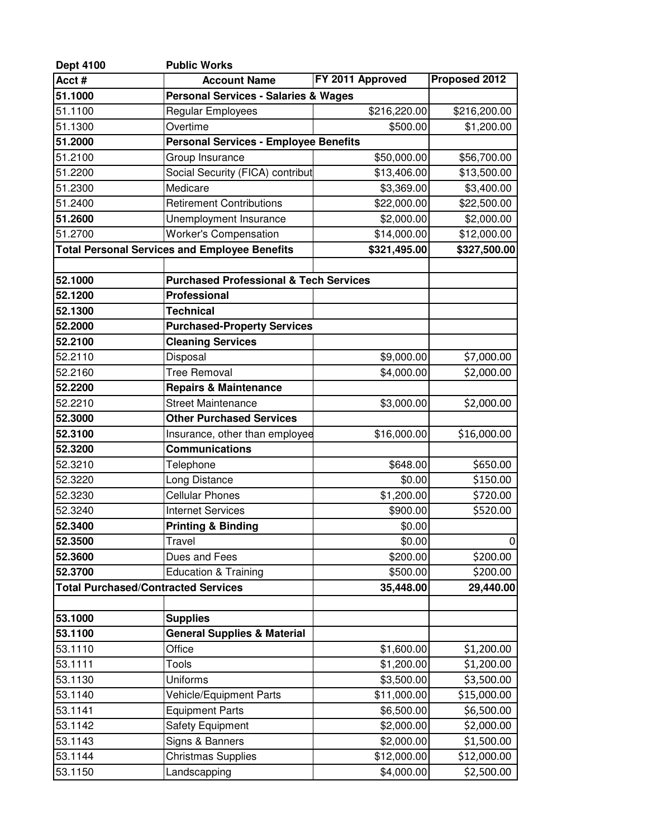| <b>Dept 4100</b>                                        | <b>Public Works</b>                                  |                  |               |  |
|---------------------------------------------------------|------------------------------------------------------|------------------|---------------|--|
| Acct#                                                   | <b>Account Name</b>                                  | FY 2011 Approved | Proposed 2012 |  |
| 51.1000                                                 | <b>Personal Services - Salaries &amp; Wages</b>      |                  |               |  |
| 51.1100                                                 | <b>Regular Employees</b>                             | \$216,220.00     | \$216,200.00  |  |
| 51.1300                                                 | Overtime                                             | \$500.00         | \$1,200.00    |  |
| 51.2000                                                 | <b>Personal Services - Employee Benefits</b>         |                  |               |  |
| 51.2100                                                 | Group Insurance                                      | \$50,000.00      | \$56,700.00   |  |
| 51.2200                                                 | Social Security (FICA) contribut                     | \$13,406.00      | \$13,500.00   |  |
| 51.2300                                                 | Medicare                                             | \$3,369.00       | \$3,400.00    |  |
| 51.2400                                                 | <b>Retirement Contributions</b>                      | \$22,000.00      | \$22,500.00   |  |
| 51.2600                                                 | Unemployment Insurance                               | \$2,000.00       | \$2,000.00    |  |
| 51.2700                                                 | <b>Worker's Compensation</b>                         | \$14,000.00      | \$12,000.00   |  |
|                                                         | <b>Total Personal Services and Employee Benefits</b> | \$321,495.00     | \$327,500.00  |  |
|                                                         |                                                      |                  |               |  |
| 52.1000                                                 | <b>Purchased Professional &amp; Tech Services</b>    |                  |               |  |
| 52.1200                                                 | Professional                                         |                  |               |  |
| 52.1300                                                 | <b>Technical</b>                                     |                  |               |  |
| 52.2000                                                 | <b>Purchased-Property Services</b>                   |                  |               |  |
| 52.2100                                                 | <b>Cleaning Services</b>                             |                  |               |  |
| 52.2110                                                 | Disposal                                             | \$9,000.00       | \$7,000.00    |  |
| 52.2160                                                 | <b>Tree Removal</b>                                  | \$4,000.00       | \$2,000.00    |  |
| 52.2200                                                 | <b>Repairs &amp; Maintenance</b>                     |                  |               |  |
| 52.2210                                                 | <b>Street Maintenance</b>                            | \$3,000.00       | \$2,000.00    |  |
| 52.3000                                                 | <b>Other Purchased Services</b>                      |                  |               |  |
| 52.3100                                                 | Insurance, other than employee                       | \$16,000.00      | \$16,000.00   |  |
| 52.3200                                                 | <b>Communications</b>                                |                  |               |  |
| 52.3210                                                 | Telephone                                            | \$648.00         | \$650.00      |  |
| 52.3220                                                 | Long Distance                                        | \$0.00           | \$150.00      |  |
| 52.3230                                                 | <b>Cellular Phones</b>                               | \$1,200.00       | \$720.00      |  |
| 52.3240                                                 | <b>Internet Services</b>                             | \$900.00         | \$520.00      |  |
| 52.3400                                                 | <b>Printing &amp; Binding</b>                        | \$0.00           |               |  |
| 52.3500                                                 | Travel                                               | \$0.00           | 0             |  |
| 52.3600                                                 | Dues and Fees                                        | \$200.00         | \$200.00      |  |
| 52.3700                                                 | Education & Training                                 | \$500.00         | \$200.00      |  |
| <b>Total Purchased/Contracted Services</b><br>35,448.00 |                                                      | 29,440.00        |               |  |
|                                                         |                                                      |                  |               |  |
| 53.1000                                                 | <b>Supplies</b>                                      |                  |               |  |
| 53.1100                                                 | <b>General Supplies &amp; Material</b>               |                  |               |  |
| 53.1110                                                 | Office                                               | \$1,600.00       | \$1,200.00    |  |
| 53.1111                                                 | <b>Tools</b>                                         | \$1,200.00       | \$1,200.00    |  |
| 53.1130                                                 | Uniforms                                             | \$3,500.00       | \$3,500.00    |  |
| 53.1140                                                 | Vehicle/Equipment Parts                              | \$11,000.00      | \$15,000.00   |  |
| 53.1141                                                 | <b>Equipment Parts</b>                               | \$6,500.00       | \$6,500.00    |  |
| 53.1142                                                 | <b>Safety Equipment</b>                              | \$2,000.00       | \$2,000.00    |  |
| 53.1143                                                 | Signs & Banners                                      | \$2,000.00       | \$1,500.00    |  |
| 53.1144                                                 | <b>Christmas Supplies</b>                            | \$12,000.00      | \$12,000.00   |  |
| 53.1150                                                 | Landscapping                                         | \$4,000.00       | \$2,500.00    |  |